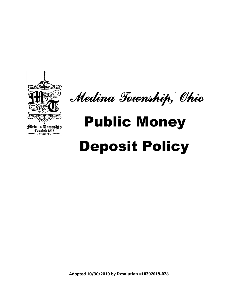

Medina Township, Ohio

# Public Money

## Deposit Policy

**Adopted 10/30/2019 by Resolution #10302019-028**